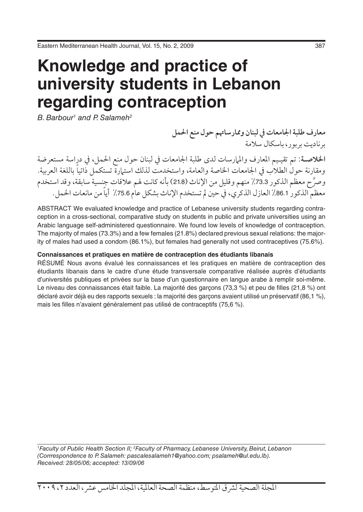# **Knowledge and practice of university students in Lebanon regarding contraception**

*B. Barbour1 and P. Salameh2*

**معارف طلبة اجلامعات يف لبنان وممارساهتم حول منع احلمل** برناديت بربور، باسكال سالمة

ا**لخلاصـة**: تم تقيـيم المعارف والملارسات لدى طلبة الجامعات في لبنان حول منع الحمل، في دراسة مستعرضة ومقارنة حول الطلاب في الجامعات الخاصة والعامة، واستخدمت لذلك استهارة تستكمل ذاتيا باللغة العربية. وصرَّح معظم الذكور 73.3٪ منهم وقليل من الإناث (21.8) بأنه كانت لهم علاقات جنسية سابقة، وقد استخدم معظم الذكور 86.1٪ العازل الذكري، في حين لم تستخدم الإناث بشكل عام 75.6٪ أيا من مانعات الحمل.

ABSTRACT We evaluated knowledge and practice of Lebanese university students regarding contraception in a cross-sectional, comparative study on students in public and private universities using an Arabic language self-administered questionnaire. We found low levels of knowledge of contraception. The majority of males (73.3%) and a few females (21.8%) declared previous sexual relations: the majority of males had used a condom (86.1%), but females had generally not used contraceptives (75.6%).

#### **Connaissances et pratiques en matière de contraception des étudiants libanais**

RÉSUMÉ Nous avons évalué les connaissances et les pratiques en matière de contraception des étudiants libanais dans le cadre d'une étude transversale comparative réalisée auprès d'étudiants d'universités publiques et privées sur la base d'un questionnaire en langue arabe à remplir soi-même. Le niveau des connaissances était faible. La majorité des garçons (73,3 %) et peu de filles (21,8 %) ont déclaré avoir déjà eu des rapports sexuels : la majorité des garçons avaient utilisé un préservatif (86,1 %), mais les filles n'avaient généralement pas utilisé de contraceptifs (75,6 %).

*1 Faculty of Public Health Section II; 2 Faculty of Pharmacy, Lebanese University, Beirut, Lebanon (Corrrespondence to P. Salameh: pascalesalameh1@yahoo.com; psalameh@ul.edu.lb). Received: 28/05/06; accepted: 13/09/06*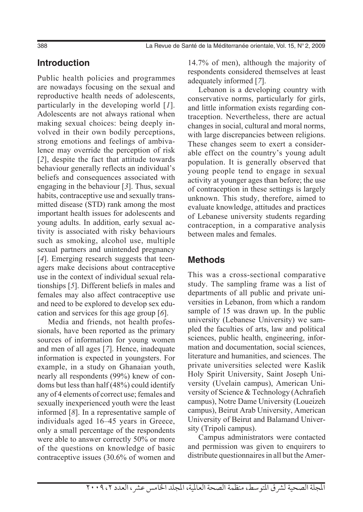# **Introduction**

Public health policies and programmes are nowadays focusing on the sexual and reproductive health needs of adolescents, particularly in the developing world [*1*]. Adolescents are not always rational when making sexual choices: being deeply involved in their own bodily perceptions, strong emotions and feelings of ambivalence may override the perception of risk [*2*], despite the fact that attitude towards behaviour generally reflects an individual's beliefs and consequences associated with engaging in the behaviour [*3*]. Thus, sexual habits, contraceptive use and sexually transmitted disease (STD) rank among the most important health issues for adolescents and young adults. In addition, early sexual activity is associated with risky behaviours such as smoking, alcohol use, multiple sexual partners and unintended pregnancy [4]. Emerging research suggests that teenagers make decisions about contraceptive use in the context of individual sexual relationships [*5*]. Different beliefs in males and females may also affect contraceptive use and need to be explored to develop sex education and services for this age group [*6*].

Media and friends, not health professionals, have been reported as the primary sources of information for young women and men of all ages [*7*]. Hence, inadequate information is expected in youngsters. For example, in a study on Ghanaian youth, nearly all respondents (99%) knew of condoms but less than half (48%) could identify any of 4 elements of correct use; females and sexually inexperienced youth were the least informed [*8*]. In a representative sample of individuals aged 16–45 years in Greece, only a small percentage of the respondents were able to answer correctly 50% or more of the questions on knowledge of basic contraceptive issues (30.6% of women and

14.7% of men), although the majority of respondents considered themselves at least adequately informed [*7*].

Lebanon is a developing country with conservative norms, particularly for girls, and little information exists regarding contraception. Nevertheless, there are actual changes in social, cultural and moral norms, with large discrepancies between religions. These changes seem to exert a considerable effect on the country's young adult population. It is generally observed that young people tend to engage in sexual activity at younger ages than before; the use of contraception in these settings is largely unknown. This study, therefore, aimed to evaluate knowledge, attitudes and practices of Lebanese university students regarding contraception, in a comparative analysis between males and females.

## **Methods**

This was a cross-sectional comparative study. The sampling frame was a list of departments of all public and private universities in Lebanon, from which a random sample of 15 was drawn up. In the public university (Lebanese University) we sampled the faculties of arts, law and political sciences, public health, engineering, information and documentation, social sciences, literature and humanities, and sciences. The private universities selected were Kaslik Holy Spirit University, Saint Joseph University (Uvelain campus), American University of Science & Technology (Achrafieh campus), Notre Dame University (Loueizeh campus), Beirut Arab University, American University of Beirut and Balamand University (Tripoli campus).

Campus administrators were contacted and permission was given to enquirers to distribute questionnaires in all but the Amer-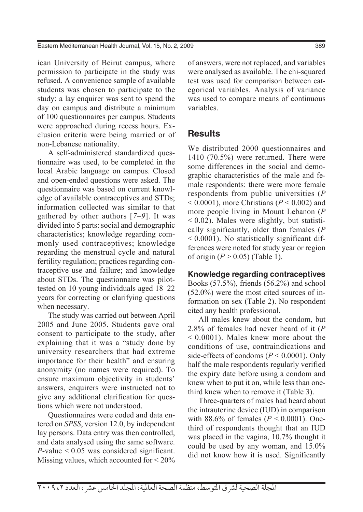ican University of Beirut campus, where permission to participate in the study was refused. A convenience sample of available students was chosen to participate to the study: a lay enquirer was sent to spend the day on campus and distribute a minimum of 100 questionnaires per campus. Students were approached during recess hours. Exclusion criteria were being married or of non-Lebanese nationality.

A self-administered standardized questionnaire was used, to be completed in the local Arabic language on campus. Closed and open-ended questions were asked. The questionnaire was based on current knowledge of available contraceptives and STDs; information collected was similar to that gathered by other authors [*7–9*]. It was divided into 5 parts: social and demographic characteristics; knowledge regarding commonly used contraceptives; knowledge regarding the menstrual cycle and natural fertility regulation; practices regarding contraceptive use and failure; and knowledge about STDs. The questionnaire was pilottested on 10 young individuals aged 18–22 years for correcting or clarifying questions when necessary.

The study was carried out between April 2005 and June 2005. Students gave oral consent to participate to the study, after explaining that it was a "study done by university researchers that had extreme importance for their health" and ensuring anonymity (no names were required). To ensure maximum objectivity in students' answers, enquirers were instructed not to give any additional clarification for questions which were not understood.

Questionnaires were coded and data entered on *SPSS*, version 12.0, by independent lay persons. Data entry was then controlled, and data analysed using the same software. *P*-value < 0.05 was considered significant. Missing values, which accounted for < 20% of answers, were not replaced, and variables were analysed as available. The chi-squared test was used for comparison between categorical variables. Analysis of variance was used to compare means of continuous variables.

### **Results**

We distributed 2000 questionnaires and 1410 (70.5%) were returned. There were some differences in the social and demographic characteristics of the male and female respondents: there were more female respondents from public universities (*P*  $< 0.0001$ ), more Christians ( $P < 0.002$ ) and more people living in Mount Lebanon (*P*  $< 0.02$ ). Males were slightly, but statistically significantly, older than females (*P*  $\leq 0.0001$ ). No statistically significant differences were noted for study year or region of origin (*P* > 0.05) (Table 1).

#### **Knowledge regarding contraceptives**

Books (57.5%), friends (56.2%) and school (52.0%) were the most cited sources of information on sex (Table 2). No respondent cited any health professional.

All males knew about the condom, but 2.8% of females had never heard of it (*P*  $\leq 0.0001$ . Males knew more about the conditions of use, contraindications and side-effects of condoms (*P* < 0.0001). Only half the male respondents regularly verified the expiry date before using a condom and knew when to put it on, while less than onethird knew when to remove it (Table 3).

Three-quarters of males had heard about the intrauterine device (IUD) in comparison with 88.6% of females ( $P < 0.0001$ ). Onethird of respondents thought that an IUD was placed in the vagina, 10.7% thought it could be used by any woman, and 15.0% did not know how it is used. Significantly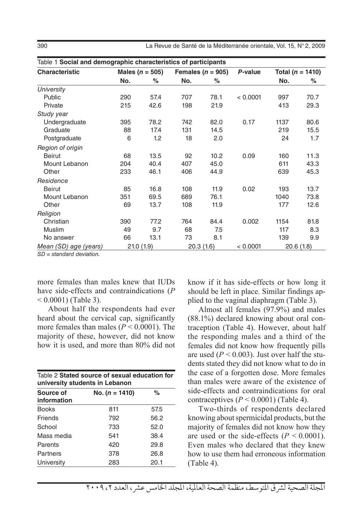390 La Revue de Santé de la Méditerranée orientale, Vol. 15, N° 2, 2009

| Table 1 Social and demographic characteristics of participants |     |                     |     |                       |          |      |                      |  |  |  |  |
|----------------------------------------------------------------|-----|---------------------|-----|-----------------------|----------|------|----------------------|--|--|--|--|
| Characteristic                                                 |     | Males ( $n = 505$ ) |     | Females ( $n = 905$ ) | P-value  |      | Total ( $n = 1410$ ) |  |  |  |  |
|                                                                | No. | %                   | No. | %                     |          | No.  | %                    |  |  |  |  |
| University                                                     |     |                     |     |                       |          |      |                      |  |  |  |  |
| Public                                                         | 290 | 57.4                | 707 | 78.1                  | < 0.0001 | 997  | 70.7                 |  |  |  |  |
| Private                                                        | 215 | 42.6                | 198 | 21.9                  |          | 413  | 29.3                 |  |  |  |  |
| Study year                                                     |     |                     |     |                       |          |      |                      |  |  |  |  |
| Undergraduate                                                  | 395 | 78.2                | 742 | 82.0                  | 0.17     | 1137 | 80.6                 |  |  |  |  |
| Graduate                                                       | 88  | 17.4                | 131 | 14.5                  |          | 219  | 15.5                 |  |  |  |  |
| Postgraduate                                                   | 6   | 1.2                 | 18  | 2.0                   |          | 24   | 1.7                  |  |  |  |  |
| Region of origin                                               |     |                     |     |                       |          |      |                      |  |  |  |  |
| <b>Beirut</b>                                                  | 68  | 13.5                | 92  | 10.2                  | 0.09     | 160  | 11.3                 |  |  |  |  |
| Mount Lebanon                                                  | 204 | 40.4                | 407 | 45.0                  |          | 611  | 43.3                 |  |  |  |  |
| Other                                                          | 233 | 46.1                | 406 | 44.9                  |          | 639  | 45.3                 |  |  |  |  |
| Residence                                                      |     |                     |     |                       |          |      |                      |  |  |  |  |
| <b>Beirut</b>                                                  | 85  | 16.8                | 108 | 11.9                  | 0.02     | 193  | 13.7                 |  |  |  |  |
| Mount Lebanon                                                  | 351 | 69.5                | 689 | 76.1                  |          | 1040 | 73.8                 |  |  |  |  |
| Other                                                          | 69  | 13.7                | 108 | 11.9                  |          | 177  | 12.6                 |  |  |  |  |
| Religion                                                       |     |                     |     |                       |          |      |                      |  |  |  |  |
| Christian                                                      | 390 | 77.2                | 764 | 84.4                  | 0.002    | 1154 | 81.8                 |  |  |  |  |
| Muslim                                                         | 49  | 9.7                 | 68  | 7.5                   |          | 117  | 8.3                  |  |  |  |  |
| No answer                                                      | 66  | 13.1                | 73  | 8.1                   |          | 139  | 9.9                  |  |  |  |  |
| Mean (SD) age (years)                                          |     | 21.0(1.9)           |     | 20.3(1.6)             | < 0.0001 |      | 20.6(1.8)            |  |  |  |  |

*SD = standard deviation.*

more females than males knew that IUDs have side-effects and contraindications (*P*  $0.0001$  (Table 3).

About half the respondents had ever heard about the cervical cap, significantly more females than males (*P* < 0.0001). The majority of these, however, did not know how it is used, and more than 80% did not

| Table 2 Stated source of sexual education for<br>university students in Lebanon |                    |      |  |  |  |  |  |
|---------------------------------------------------------------------------------|--------------------|------|--|--|--|--|--|
| Source of<br>information                                                        | No. ( $n = 1410$ ) | ℅    |  |  |  |  |  |
| <b>Books</b>                                                                    | 811                | 57.5 |  |  |  |  |  |
| Friends                                                                         | 792                | 56.2 |  |  |  |  |  |
| School                                                                          | 733                | 52.0 |  |  |  |  |  |
| Mass media                                                                      | 541                | 38.4 |  |  |  |  |  |
| Parents                                                                         | 420                | 29.8 |  |  |  |  |  |
| Partners                                                                        | 378                | 26.8 |  |  |  |  |  |
| University                                                                      | 283                | 20.1 |  |  |  |  |  |

know if it has side-effects or how long it should be left in place. Similar findings applied to the vaginal diaphragm (Table 3).

Almost all females (97.9%) and males (88.1%) declared knowing about oral contraception (Table 4). However, about half the responding males and a third of the females did not know how frequently pills are used  $(P < 0.003)$ . Just over half the students stated they did not know what to do in the case of a forgotten dose. More females than males were aware of the existence of side-effects and contraindications for oral contraceptives  $(P < 0.0001)$  (Table 4).

Two-thirds of respondents declared knowing about spermicidal products, but the majority of females did not know how they are used or the side-effects  $(P < 0.0001)$ . Even males who declared that they knew how to use them had erroneous information (Table 4).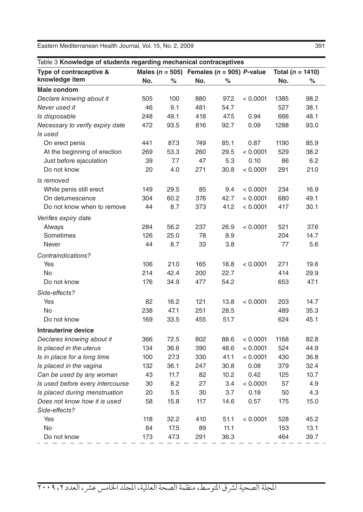| Table 3 Knowledge of students regarding mechanical contraceptives |     |      |                                                   |      |          |                      |      |  |
|-------------------------------------------------------------------|-----|------|---------------------------------------------------|------|----------|----------------------|------|--|
| Type of contraceptive &                                           |     |      | Males ( $n = 505$ ) Females ( $n = 905$ ) P-value |      |          | Total ( $n = 1410$ ) |      |  |
| knowledge item                                                    | No. | ℅    | No.                                               | %    |          | No.                  | ℅    |  |
| Male condom                                                       |     |      |                                                   |      |          |                      |      |  |
| Declare knowing about it                                          | 505 | 100  | 880                                               | 97.2 | < 0.0001 | 1385                 | 98.2 |  |
| Never used it                                                     | 46  | 9.1  | 481                                               | 54.7 |          | 527                  | 38.1 |  |
| Is disposable                                                     | 248 | 49.1 | 418                                               | 47.5 | 0.94     | 666                  | 48.1 |  |
| Necessary to verify expiry date                                   | 472 | 93.5 | 816                                               | 92.7 | 0.09     | 1288                 | 93.0 |  |
| Is used                                                           |     |      |                                                   |      |          |                      |      |  |
| On erect penis                                                    | 441 | 87.3 | 749                                               | 85.1 | 0.87     | 1190                 | 85.9 |  |
| At the beginning of erection                                      | 269 | 53.3 | 260                                               | 29.5 | < 0.0001 | 529                  | 38.2 |  |
| Just before ejaculation                                           | 39  | 7.7  | 47                                                | 5.3  | 0.10     | 86                   | 6.2  |  |
| Do not know                                                       | 20  | 4.0  | 271                                               | 30.8 | < 0.0001 | 291                  | 21.0 |  |
| Is removed                                                        |     |      |                                                   |      |          |                      |      |  |
| While penis still erect                                           | 149 | 29.5 | 85                                                | 9.4  | < 0.0001 | 234                  | 16.9 |  |
| On detumescence                                                   | 304 | 60.2 | 376                                               | 42.7 | < 0.0001 | 680                  | 49.1 |  |
| Do not know when to remove                                        | 44  | 8.7  | 373                                               | 41.2 | < 0.0001 | 417                  | 30.1 |  |
| Verifies expiry date                                              |     |      |                                                   |      |          |                      |      |  |
| Always                                                            | 284 | 56.2 | 237                                               | 26.9 | < 0.0001 | 521                  | 37.6 |  |
| Sometimes                                                         | 126 | 25.0 | 78                                                | 8.9  |          | 204                  | 14.7 |  |
| Never                                                             | 44  | 8.7  | 33                                                | 3.8  |          | 77                   | 5.6  |  |
| Contraindications?                                                |     |      |                                                   |      |          |                      |      |  |
| Yes                                                               | 106 | 21.0 | 165                                               | 18.8 | < 0.0001 | 271                  | 19.6 |  |
| <b>No</b>                                                         | 214 | 42.4 | 200                                               | 22.7 |          | 414                  | 29.9 |  |
| Do not know                                                       | 176 | 34.9 | 477                                               | 54.2 |          | 653                  | 47.1 |  |
| Side-effects?                                                     |     |      |                                                   |      |          |                      |      |  |
| Yes                                                               | 82  | 16.2 | 121                                               | 13.8 | < 0.0001 | 203                  | 14.7 |  |
| <b>No</b>                                                         | 238 | 47.1 | 251                                               | 28.5 |          | 489                  | 35.3 |  |
| Do not know                                                       | 169 | 33.5 | 455                                               | 51.7 |          | 624                  | 45.1 |  |
| Intrauterine device                                               |     |      |                                                   |      |          |                      |      |  |
| Declares knowing about it                                         | 366 | 72.5 | 802                                               | 88.6 | < 0.0001 | 1168                 | 82.8 |  |
| Is placed in the uterus                                           | 134 | 36.6 | 390                                               | 48.6 | < 0.0001 | 524                  | 44.9 |  |
| Is in place for a long time                                       | 100 | 27.3 | 330                                               | 41.1 | < 0.0001 | 430                  | 36.8 |  |
| Is placed in the vagina                                           | 132 | 36.1 | 247                                               | 30.8 | 0.08     | 379                  | 32.4 |  |
| Can be used by any woman                                          | 43  | 11.7 | 82                                                | 10.2 | 0.42     | 125                  | 10.7 |  |
| Is used before every intercourse                                  | 30  | 8.2  | 27                                                | 3.4  | < 0.0001 | 57                   | 4.9  |  |
| Is placed during menstruation                                     | 20  | 5.5  | 30                                                | 3.7  | 0.18     | 50                   | 4.3  |  |
| Does not know how it is used                                      | 58  | 15.8 | 117                                               | 14.6 | 0.57     | 175                  | 15.0 |  |
| Side-effects?                                                     |     |      |                                                   |      |          |                      |      |  |
| Yes                                                               | 118 | 32.2 | 410                                               | 51.1 | < 0.0001 | 528                  | 45.2 |  |
| No                                                                | 64  | 17.5 | 89                                                | 11.1 |          | 153                  | 13.1 |  |
| Do not know                                                       | 173 | 47.3 | 291                                               | 36.3 |          | 464                  | 39.7 |  |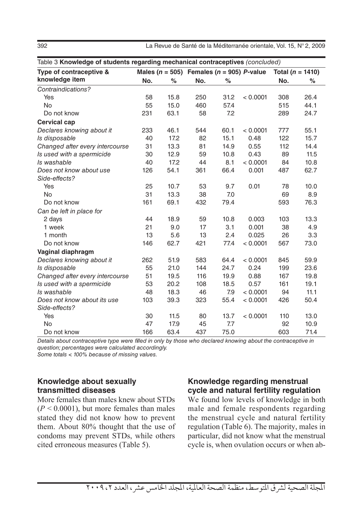392 La Revue de Santé de la Méditerranée orientale, Vol. 15, N° 2, 2009

| Table 3 Knowledge of students regarding mechanical contraceptives (concluded) |     |      |     |      |                                                   |                      |      |  |
|-------------------------------------------------------------------------------|-----|------|-----|------|---------------------------------------------------|----------------------|------|--|
| Type of contraceptive &                                                       |     |      |     |      | Males ( $n = 505$ ) Females ( $n = 905$ ) P-value | Total ( $n = 1410$ ) |      |  |
| knowledge item                                                                | No. | $\%$ | No. | $\%$ |                                                   | No.                  | $\%$ |  |
| Contraindications?                                                            |     |      |     |      |                                                   |                      |      |  |
| Yes                                                                           | 58  | 15.8 | 250 | 31.2 | < 0.0001                                          | 308                  | 26.4 |  |
| <b>No</b>                                                                     | 55  | 15.0 | 460 | 57.4 |                                                   | 515                  | 44.1 |  |
| Do not know                                                                   | 231 | 63.1 | 58  | 7.2  |                                                   | 289                  | 24.7 |  |
| <b>Cervical cap</b>                                                           |     |      |     |      |                                                   |                      |      |  |
| Declares knowing about it                                                     | 233 | 46.1 | 544 | 60.1 | < 0.0001                                          | 777                  | 55.1 |  |
| Is disposable                                                                 | 40  | 17.2 | 82  | 15.1 | 0.48                                              | 122                  | 15.7 |  |
| Changed after every intercourse                                               | 31  | 13.3 | 81  | 14.9 | 0.55                                              | 112                  | 14.4 |  |
| Is used with a spermicide                                                     | 30  | 12.9 | 59  | 10.8 | 0.43                                              | 89                   | 11.5 |  |
| Is washable                                                                   | 40  | 17.2 | 44  | 8.1  | < 0.0001                                          | 84                   | 10.8 |  |
| Does not know about use                                                       | 126 | 54.1 | 361 | 66.4 | 0.001                                             | 487                  | 62.7 |  |
| Side-effects?                                                                 |     |      |     |      |                                                   |                      |      |  |
| Yes                                                                           | 25  | 10.7 | 53  | 9.7  | 0.01                                              | 78                   | 10.0 |  |
| <b>No</b>                                                                     | 31  | 13.3 | 38  | 7.0  |                                                   | 69                   | 8.9  |  |
| Do not know                                                                   | 161 | 69.1 | 432 | 79.4 |                                                   | 593                  | 76.3 |  |
| Can be left in place for                                                      |     |      |     |      |                                                   |                      |      |  |
| 2 days                                                                        | 44  | 18.9 | 59  | 10.8 | 0.003                                             | 103                  | 13.3 |  |
| 1 week                                                                        | 21  | 9.0  | 17  | 3.1  | 0.001                                             | 38                   | 4.9  |  |
| 1 month                                                                       | 13  | 5.6  | 13  | 2.4  | 0.025                                             | 26                   | 3.3  |  |
| Do not know                                                                   | 146 | 62.7 | 421 | 77.4 | < 0.0001                                          | 567                  | 73.0 |  |
| Vaginal diaphragm                                                             |     |      |     |      |                                                   |                      |      |  |
| Declares knowing about it                                                     | 262 | 51.9 | 583 | 64.4 | < 0.0001                                          | 845                  | 59.9 |  |
| Is disposable                                                                 | 55  | 21.0 | 144 | 24.7 | 0.24                                              | 199                  | 23.6 |  |
| Changed after every intercourse                                               | 51  | 19.5 | 116 | 19.9 | 0.88                                              | 167                  | 19.8 |  |
| Is used with a spermicide                                                     | 53  | 20.2 | 108 | 18.5 | 0.57                                              | 161                  | 19.1 |  |
| Is washable                                                                   | 48  | 18.3 | 46  | 7.9  | < 0.0001                                          | 94                   | 11.1 |  |
| Does not know about its use                                                   | 103 | 39.3 | 323 | 55.4 | < 0.0001                                          | 426                  | 50.4 |  |
| Side-effects?                                                                 |     |      |     |      |                                                   |                      |      |  |
| Yes                                                                           | 30  | 11.5 | 80  | 13.7 | < 0.0001                                          | 110                  | 13.0 |  |
| <b>No</b>                                                                     | 47  | 17.9 | 45  | 7.7  |                                                   | 92                   | 10.9 |  |
| Do not know                                                                   | 166 | 63.4 | 437 | 75.0 |                                                   | 603                  | 71.4 |  |

*Details about contraceptive type were filled in only by those who declared knowing about the contraceptive in question; percentages were calculated accordingly.* 

*Some totals < 100% because of missing values.*

#### **Knowledge about sexually transmitted diseases**

More females than males knew about STDs  $(P < 0.0001)$ , but more females than males stated they did not know how to prevent them. About 80% thought that the use of condoms may prevent STDs, while others cited erroneous measures (Table 5).

#### **Knowledge regarding menstrual cycle and natural fertility regulation**

We found low levels of knowledge in both male and female respondents regarding the menstrual cycle and natural fertility regulation (Table 6). The majority, males in particular, did not know what the menstrual cycle is, when ovulation occurs or when ab-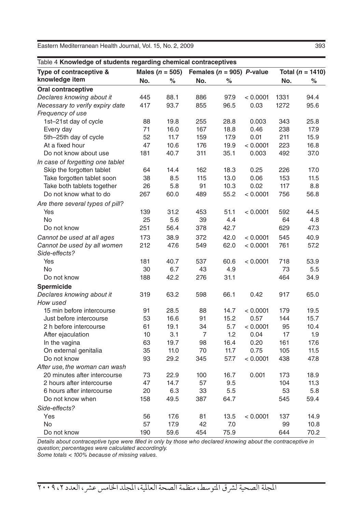| Table 4 Knowledge of students regarding chemical contraceptives |                     |      |                |      |                               |                      |      |
|-----------------------------------------------------------------|---------------------|------|----------------|------|-------------------------------|----------------------|------|
| Type of contraceptive &                                         | Males ( $n = 505$ ) |      |                |      | Females ( $n = 905$ ) P-value | Total ( $n = 1410$ ) |      |
| knowledge item                                                  | No.                 | $\%$ | No.            | %    |                               | No.                  | $\%$ |
| <b>Oral contraceptive</b>                                       |                     |      |                |      |                               |                      |      |
| Declares knowing about it                                       | 445                 | 88.1 | 886            | 97.9 | < 0.0001                      | 1331                 | 94.4 |
| Necessary to verify expiry date                                 | 417                 | 93.7 | 855            | 96.5 | 0.03                          | 1272                 | 95.6 |
| Frequency of use                                                |                     |      |                |      |                               |                      |      |
| 1st-21st day of cycle                                           | 88                  | 19.8 | 255            | 28.8 | 0.003                         | 343                  | 25.8 |
| Every day                                                       | 71                  | 16.0 | 167            | 18.8 | 0.46                          | 238                  | 17.9 |
| 5th-25th day of cycle                                           | 52                  | 11.7 | 159            | 17.9 | 0.01                          | 211                  | 15.9 |
| At a fixed hour                                                 | 47                  | 10.6 | 176            | 19.9 | < 0.0001                      | 223                  | 16.8 |
| Do not know about use                                           | 181                 | 40.7 | 311            | 35.1 | 0.003                         | 492                  | 37.0 |
| In case of forgetting one tablet                                |                     |      |                |      |                               |                      |      |
| Skip the forgotten tablet                                       | 64                  | 14.4 | 162            | 18.3 | 0.25                          | 226                  | 17.0 |
| Take forgotten tablet soon                                      | 38                  | 8.5  | 115            | 13.0 | 0.06                          | 153                  | 11.5 |
| Take both tablets together                                      | 26                  | 5.8  | 91             | 10.3 | 0.02                          | 117                  | 8.8  |
| Do not know what to do                                          | 267                 | 60.0 | 489            | 55.2 | < 0.0001                      | 756                  | 56.8 |
| Are there several types of pill?                                |                     |      |                |      |                               |                      |      |
| Yes                                                             | 139                 | 31.2 | 453            | 51.1 | < 0.0001                      | 592                  | 44.5 |
| <b>No</b>                                                       | 25                  | 5.6  | 39             | 4.4  |                               | 64                   | 4.8  |
| Do not know                                                     | 251                 | 56.4 | 378            | 42.7 |                               | 629                  | 47.3 |
| Cannot be used at all ages                                      | 173                 | 38.9 | 372            | 42.0 | < 0.0001                      | 545                  | 40.9 |
| Cannot be used by all women                                     | 212                 | 47.6 | 549            | 62.0 | < 0.0001                      | 761                  | 57.2 |
| Side-effects?                                                   |                     |      |                |      |                               |                      |      |
| Yes                                                             | 181                 | 40.7 | 537            | 60.6 | < 0.0001                      | 718                  | 53.9 |
| <b>No</b>                                                       | 30                  | 6.7  | 43             | 4.9  |                               | 73                   | 5.5  |
| Do not know                                                     | 188                 | 42.2 | 276            | 31.1 |                               | 464                  | 34.9 |
| Spermicide                                                      |                     |      |                |      |                               |                      |      |
| Declares knowing about it                                       | 319                 | 63.2 | 598            | 66.1 | 0.42                          | 917                  | 65.0 |
| How used                                                        |                     |      |                |      |                               |                      |      |
| 15 min before intercourse                                       | 91                  | 28.5 | 88             | 14.7 | < 0.0001                      | 179                  | 19.5 |
| Just before intercourse                                         | 53                  | 16.6 | 91             | 15.2 | 0.57                          | 144                  | 15.7 |
| 2 h before intercourse                                          | 61                  | 19.1 | 34             | 5.7  | < 0.0001                      | 95                   | 10.4 |
| After ejaculation                                               | 10                  | 3.1  | $\overline{7}$ | 1.2  | 0.04                          | 17                   | 1.9  |
| In the vagina                                                   | 63                  | 19.7 | 98             | 16.4 | 0.20                          | 161                  | 17.6 |
| On external genitalia                                           | 35                  | 11.0 | 70             | 11.7 | 0.75                          | 105                  | 11.5 |
| Do not know                                                     | 93                  | 29.2 | 345            | 57.7 | < 0.0001                      | 438                  | 47.8 |
|                                                                 |                     |      |                |      |                               |                      |      |
| After use, the woman can wash<br>20 minutes after intercourse   | 73                  | 22.9 | 100            | 16.7 | 0.001                         | 173                  | 18.9 |
| 2 hours after intercourse                                       | 47                  | 14.7 | 57             | 9.5  |                               | 104                  | 11.3 |
| 6 hours after intercourse                                       | 20                  | 6.3  | 33             | 5.5  |                               | 53                   | 5.8  |
|                                                                 |                     |      |                |      |                               |                      |      |
| Do not know when                                                | 158                 | 49.5 | 387            | 64.7 |                               | 545                  | 59.4 |
| Side-effects?                                                   |                     |      |                |      |                               |                      |      |
| Yes                                                             | 56                  | 17.6 | 81             | 13.5 | < 0.0001                      | 137                  | 14.9 |
| <b>No</b>                                                       | 57                  | 17.9 | 42             | 7.0  |                               | 99                   | 10.8 |
| Do not know                                                     | 190                 | 59.6 | 454            | 75.9 |                               | 644                  | 70.2 |

*Details about contraceptive type were filled in only by those who declared knowing about the contraceptive in question; percentages were calculated accordingly.* 

*Some totals < 100% because of missing values.*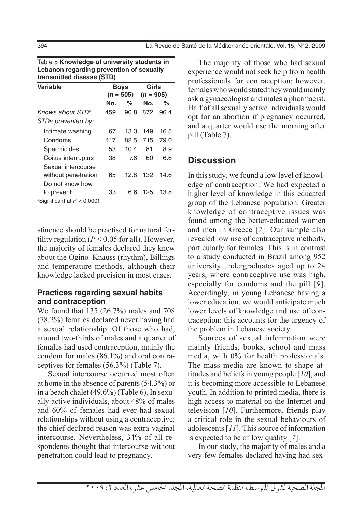| transmitted disease (STD)    |     |                            |                      |      |  |  |  |  |  |
|------------------------------|-----|----------------------------|----------------------|------|--|--|--|--|--|
| <b>Variable</b>              |     | <b>Boys</b><br>$(n = 505)$ | Girls<br>$(n = 905)$ |      |  |  |  |  |  |
|                              | No. | ℅                          | No.                  | ℅    |  |  |  |  |  |
| Knows about STD <sup>a</sup> | 459 | 90.8                       | 872                  | 96.4 |  |  |  |  |  |
| STDs prevented by:           |     |                            |                      |      |  |  |  |  |  |
| Intimate washing             | 67  | 13.3                       | 149                  | 16.5 |  |  |  |  |  |
| Condoms                      | 417 | 82.5                       | 715                  | 79.0 |  |  |  |  |  |
| Spermicides                  | 53  | 10.4                       | 81                   | 8.9  |  |  |  |  |  |
| Coitus interruptus           | 38  | 7.6                        | 60                   | 6.6  |  |  |  |  |  |
| Sexual intercourse           |     |                            |                      |      |  |  |  |  |  |
| without penetration          | 65  | 12.8                       | 132                  | 14.6 |  |  |  |  |  |
| Do not know how              |     |                            |                      |      |  |  |  |  |  |
| to prevent <sup>a</sup>      | 33  | 6.6                        | 125                  | 13.8 |  |  |  |  |  |
|                              |     |                            |                      |      |  |  |  |  |  |

Table 5 **Knowledge of university students in Lebanon regarding prevention of sexually** 

a Significant at *P* < 0.0001.

stinence should be practised for natural fertility regulation  $(P < 0.05$  for all). However, the majority of females declared they knew about the Ogino–Knauss (rhythm), Billings and temperature methods, although their knowledge lacked precision in most cases.

#### **Practices regarding sexual habits and contraception**

We found that 135 (26.7%) males and 708 (78.2%) females declared never having had a sexual relationship. Of those who had, around two-thirds of males and a quarter of females had used contraception, mainly the condom for males (86.1%) and oral contraceptives for females (56.3%) (Table 7).

Sexual intercourse occurred most often at home in the absence of parents (54.3%) or in a beach chalet (49.6%) (Table 6). In sexually active individuals, about 48% of males and 60% of females had ever had sexual relationships without using a contraceptive; the chief declared reason was extra-vaginal intercourse. Nevertheless, 34% of all respondents thought that intercourse without penetration could lead to pregnancy.

The majority of those who had sexual experience would not seek help from health professionals for contraception; however, females who would stated they would mainly ask a gynaecologist and males a pharmacist. Half of all sexually active individuals would opt for an abortion if pregnancy occurred, and a quarter would use the morning after pill (Table 7).

### **Discussion**

In this study, we found a low level of knowledge of contraception. We had expected a higher level of knowledge in this educated group of the Lebanese population. Greater knowledge of contraceptive issues was found among the better-educated women and men in Greece [*7*]. Our sample also revealed low use of contraceptive methods, particularly for females. This is in contrast to a study conducted in Brazil among 952 university undergraduates aged up to 24 years, where contraceptive use was high, especially for condoms and the pill [*9*]. Accordingly, in young Lebanese having a lower education, we would anticipate much lower levels of knowledge and use of contraception: this accounts for the urgency of the problem in Lebanese society.

Sources of sexual information were mainly friends, books, school and mass media, with 0% for health professionals. The mass media are known to shape attitudes and beliefs in young people [*10*], and it is becoming more accessible to Lebanese youth. In addition to printed media, there is high access to material on the Internet and television [*10*]. Furthermore, friends play a critical role in the sexual behaviours of adolescents [*11*]. This source of information is expected to be of low quality [*7*].

In our study, the majority of males and a very few females declared having had sex-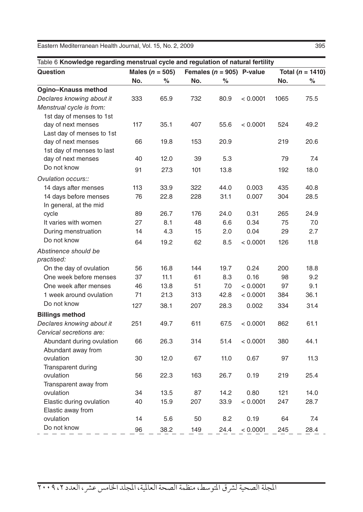| Table 6 Knowledge regarding menstrual cycle and regulation of natural fertility |     |                     |     |      |                               |      |                      |  |
|---------------------------------------------------------------------------------|-----|---------------------|-----|------|-------------------------------|------|----------------------|--|
| Question                                                                        |     | Males ( $n = 505$ ) |     |      | Females ( $n = 905$ ) P-value |      | Total ( $n = 1410$ ) |  |
|                                                                                 | No. | %                   | No. | %    |                               | No.  | %                    |  |
| <b>Ogino-Knauss method</b>                                                      |     |                     |     |      |                               |      |                      |  |
| Declares knowing about it                                                       | 333 | 65.9                | 732 | 80.9 | < 0.0001                      | 1065 | 75.5                 |  |
| Menstrual cycle is from:                                                        |     |                     |     |      |                               |      |                      |  |
| 1st day of menses to 1st                                                        |     |                     |     |      |                               |      |                      |  |
| day of next menses                                                              | 117 | 35.1                | 407 | 55.6 | < 0.0001                      | 524  | 49.2                 |  |
| Last day of menses to 1st                                                       |     |                     |     |      |                               |      |                      |  |
| day of next menses                                                              | 66  | 19.8                | 153 | 20.9 |                               | 219  | 20.6                 |  |
| 1st day of menses to last                                                       |     |                     |     |      |                               |      |                      |  |
| day of next menses                                                              | 40  | 12.0                | 39  | 5.3  |                               | 79   | 7.4                  |  |
| Do not know                                                                     | 91  | 27.3                | 101 | 13.8 |                               | 192  | 18.0                 |  |
| Ovulation occurs::                                                              |     |                     |     |      |                               |      |                      |  |
| 14 days after menses                                                            | 113 | 33.9                | 322 | 44.0 | 0.003                         | 435  | 40.8                 |  |
| 14 days before menses                                                           | 76  | 22.8                | 228 | 31.1 | 0.007                         | 304  | 28.5                 |  |
| In general, at the mid                                                          |     |                     |     |      |                               |      |                      |  |
| cycle                                                                           | 89  | 26.7                | 176 | 24.0 | 0.31                          | 265  | 24.9                 |  |
| It varies with women                                                            | 27  | 8.1                 | 48  | 6.6  | 0.34                          | 75   | 7.0                  |  |
| During menstruation                                                             | 14  | 4.3                 | 15  | 2.0  | 0.04                          | 29   | 2.7                  |  |
| Do not know                                                                     | 64  | 19.2                | 62  | 8.5  | < 0.0001                      | 126  | 11.8                 |  |
| Abstinence should be                                                            |     |                     |     |      |                               |      |                      |  |
| practised:                                                                      |     |                     |     |      |                               |      |                      |  |
| On the day of ovulation                                                         | 56  | 16.8                | 144 | 19.7 | 0.24                          | 200  | 18.8                 |  |
| One week before menses                                                          | 37  | 11.1                | 61  | 8.3  | 0.16                          | 98   | 9.2                  |  |
| One week after menses                                                           | 46  | 13.8                | 51  | 7.0  | < 0.0001                      | 97   | 9.1                  |  |
| 1 week around ovulation                                                         | 71  | 21.3                | 313 | 42.8 | < 0.0001                      | 384  | 36.1                 |  |
| Do not know                                                                     | 127 | 38.1                | 207 | 28.3 | 0.002                         | 334  | 31.4                 |  |
| <b>Billings method</b>                                                          |     |                     |     |      |                               |      |                      |  |
| Declares knowing about it                                                       | 251 | 49.7                | 611 | 67.5 | < 0.0001                      | 862  | 61.1                 |  |
| Cervical secretions are:                                                        |     |                     |     |      |                               |      |                      |  |
| Abundant during ovulation                                                       | 66  | 26.3                | 314 | 51.4 | < 0.0001                      | 380  | 44.1                 |  |
| Abundant away from                                                              |     |                     |     |      |                               |      |                      |  |
| ovulation                                                                       | 30  | 12.0                | 67  | 11.0 | 0.67                          | 97   | 11.3                 |  |
| Transparent during                                                              |     |                     |     |      |                               |      |                      |  |
| ovulation                                                                       | 56  | 22.3                | 163 | 26.7 | 0.19                          | 219  | 25.4                 |  |
| Transparent away from                                                           |     |                     |     |      |                               |      |                      |  |
| ovulation                                                                       | 34  | 13.5                | 87  | 14.2 | 0.80                          | 121  | 14.0                 |  |
| Elastic during ovulation                                                        | 40  | 15.9                | 207 | 33.9 | < 0.0001                      | 247  | 28.7                 |  |
| Elastic away from                                                               |     |                     |     |      |                               |      |                      |  |
| ovulation                                                                       | 14  | 5.6                 | 50  | 8.2  | 0.19                          | 64   | 7.4                  |  |
| Do not know                                                                     | 96  | 38.2                | 149 | 24.4 | < 0.0001                      | 245  | 28.4                 |  |
|                                                                                 |     |                     |     |      |                               |      |                      |  |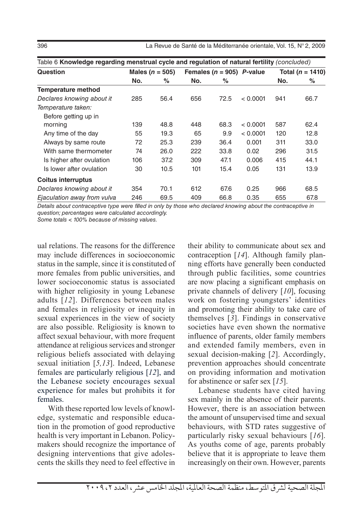396 La Revue de Santé de la Méditerranée orientale, Vol. 15, N° 2, 2009

| Question                    |     | Males ( $n = 505$ ) |     | Females ( $n = 905$ ) P-value |          | Total ( $n = 1410$ ) |      |
|-----------------------------|-----|---------------------|-----|-------------------------------|----------|----------------------|------|
|                             | No. | %                   | No. | ℅                             |          | No.                  | %    |
| <b>Temperature method</b>   |     |                     |     |                               |          |                      |      |
| Declares knowing about it   | 285 | 56.4                | 656 | 72.5                          | < 0.0001 | 941                  | 66.7 |
| Temperature taken:          |     |                     |     |                               |          |                      |      |
| Before getting up in        |     |                     |     |                               |          |                      |      |
| morning                     | 139 | 48.8                | 448 | 68.3                          | < 0.0001 | 587                  | 62.4 |
| Any time of the day         | 55  | 19.3                | 65  | 9.9                           | < 0.0001 | 120                  | 12.8 |
| Always by same route        | 72  | 25.3                | 239 | 36.4                          | 0.001    | 311                  | 33.0 |
| With same thermometer       | 74  | 26.0                | 222 | 33.8                          | 0.02     | 296                  | 31.5 |
| Is higher after ovulation   | 106 | 37.2                | 309 | 47.1                          | 0.006    | 415                  | 44.1 |
| Is lower after ovulation    | 30  | 10.5                | 101 | 15.4                          | 0.05     | 131                  | 13.9 |
| Coitus interruptus          |     |                     |     |                               |          |                      |      |
| Declares knowing about it   | 354 | 70.1                | 612 | 67.6                          | 0.25     | 966                  | 68.5 |
| Ejaculation away from vulva | 246 | 69.5                | 409 | 66.8                          | 0.35     | 655                  | 67.8 |

Table 6 **Knowledge regarding menstrual cycle and regulation of natural fertility** *(concluded)*

*Details about contraceptive type were filled in only by those who declared knowing about the contraceptive in question; percentages were calculated accordingly.* 

*Some totals < 100% because of missing values.*

ual relations. The reasons for the difference may include differences in socioeconomic status in the sample, since it is constituted of more females from public universities, and lower socioeconomic status is associated with higher religiosity in young Lebanese adults [*12*]. Differences between males and females in religiosity or inequity in sexual experiences in the view of society are also possible. Religiosity is known to affect sexual behaviour, with more frequent attendance at religious services and stronger religious beliefs associated with delaying sexual initiation [*5,13*]. Indeed, Lebanese females are particularly religious [*12*], and the Lebanese society encourages sexual experience for males but prohibits it for females.

With these reported low levels of knowledge, systematic and responsible education in the promotion of good reproductive health is very important in Lebanon. Policymakers should recognize the importance of designing interventions that give adolescents the skills they need to feel effective in their ability to communicate about sex and contraception [*14*]. Although family planning efforts have generally been conducted through public facilities, some countries are now placing a significant emphasis on private channels of delivery [*10*], focusing work on fostering youngsters' identities and promoting their ability to take care of themselves [*3*]. Findings in conservative societies have even shown the normative influence of parents, older family members and extended family members, even in sexual decision-making [*2*]. Accordingly, prevention approaches should concentrate on providing information and motivation for abstinence or safer sex [*15*].

Lebanese students have cited having sex mainly in the absence of their parents. However, there is an association between the amount of unsupervised time and sexual behaviours, with STD rates suggestive of particularly risky sexual behaviours [*16*]. As youths come of age, parents probably believe that it is appropriate to leave them increasingly on their own. However, parents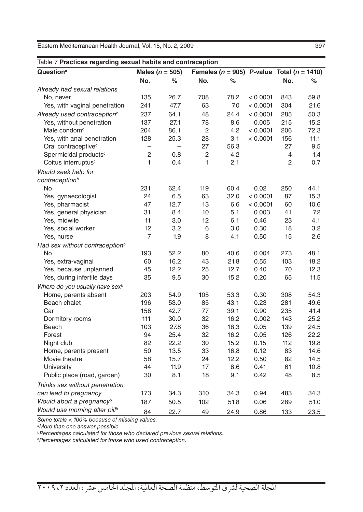| Table 7 Practices regarding sexual habits and contraception |                          |                          |                |                                                    |          |                |      |  |
|-------------------------------------------------------------|--------------------------|--------------------------|----------------|----------------------------------------------------|----------|----------------|------|--|
| Question <sup>a</sup>                                       |                          | Males ( $n = 505$ )      |                | Females ( $n = 905$ ) P-value Total ( $n = 1410$ ) |          |                |      |  |
|                                                             | No.                      | %                        | No.            | $\%$                                               |          | No.            | $\%$ |  |
| Already had sexual relations                                |                          |                          |                |                                                    |          |                |      |  |
| No, never                                                   | 135                      | 26.7                     | 708            | 78.2                                               | < 0.0001 | 843            | 59.8 |  |
| Yes, with vaginal penetration                               | 241                      | 47.7                     | 63             | 7.0                                                | < 0.0001 | 304            | 21.6 |  |
| Already used contraception <sup>b</sup>                     | 237                      | 64.1                     | 48             | 24.4                                               | < 0.0001 | 285            | 50.3 |  |
| Yes, without penetration                                    | 137                      | 27.1                     | 78             | 8.6                                                | 0.005    | 215            | 15.2 |  |
| Male condom <sup>c</sup>                                    | 204                      | 86.1                     | 2              | 4.2                                                | < 0.0001 | 206            | 72.3 |  |
| Yes, with anal penetration                                  | 128                      | 25.3                     | 28             | 3.1                                                | < 0.0001 | 156            | 11.1 |  |
| Oral contraceptive <sup>c</sup>                             | $\overline{\phantom{0}}$ | $\overline{\phantom{0}}$ | 27             | 56.3                                               |          | 27             | 9.5  |  |
| Spermicidal products <sup>c</sup>                           | $\overline{c}$           | 0.8                      | $\overline{c}$ | 4.2                                                |          | 4              | 1.4  |  |
| Coitus interruptus <sup>c</sup>                             | $\mathbf{1}$             | 0.4                      | 1              | 2.1                                                |          | $\overline{c}$ | 0.7  |  |
| Would seek help for                                         |                          |                          |                |                                                    |          |                |      |  |
| contraception <sup>b</sup>                                  |                          |                          |                |                                                    |          |                |      |  |
| No                                                          | 231                      | 62.4                     | 119            | 60.4                                               | 0.02     | 250            | 44.1 |  |
| Yes, gynaecologist                                          | 24                       | 6.5                      | 63             | 32.0                                               | < 0.0001 | 87             | 15.3 |  |
| Yes, pharmacist                                             | 47                       | 12.7                     | 13             | 6.6                                                | < 0.0001 | 60             | 10.6 |  |
| Yes, general physician                                      | 31                       | 8.4                      | 10             | 5.1                                                | 0.003    | 41             | 7.2  |  |
| Yes, midwife                                                | 11                       | 3.0                      | 12             | 6.1                                                | 0.46     | 23             | 4.1  |  |
| Yes, social worker                                          | 12                       | 3.2                      | 6              | 3.0                                                | 0.30     | 18             | 3.2  |  |
| Yes, nurse                                                  | 7                        | 1.9                      | 8              | 4.1                                                | 0.50     | 15             | 2.6  |  |
| Had sex without contraception <sup>b</sup>                  |                          |                          |                |                                                    |          |                |      |  |
| No                                                          | 193                      | 52.2                     | 80             | 40.6                                               | 0.004    | 273            | 48.1 |  |
| Yes, extra-vaginal                                          | 60                       | 16.2                     | 43             | 21.8                                               | 0.55     | 103            | 18.2 |  |
| Yes, because unplanned                                      | 45                       | 12.2                     | 25             | 12.7                                               | 0.40     | 70             | 12.3 |  |
| Yes, during infertile days                                  | 35                       | 9.5                      | 30             | 15.2                                               | 0.20     | 65             | 11.5 |  |
| Where do you usually have sex <sup>b</sup>                  |                          |                          |                |                                                    |          |                |      |  |
| Home, parents absent                                        | 203                      | 54.9                     | 105            | 53.3                                               | 0.30     | 308            | 54.3 |  |
| Beach chalet                                                | 196                      | 53.0                     | 85             | 43.1                                               | 0.23     | 281            | 49.6 |  |
| Car                                                         | 158                      | 42.7                     | 77             | 39.1                                               | 0.90     | 235            | 41.4 |  |
| Dormitory rooms                                             | 111                      | 30.0                     | 32             | 16.2                                               | 0.002    | 143            | 25.2 |  |
| Beach                                                       | 103                      | 27.8                     | 36             | 18.3                                               | 0.05     | 139            | 24.5 |  |
| Forest                                                      | 94                       | 25.4                     | 32             | 16.2                                               | 0.05     | 126            | 22.2 |  |
| Night club                                                  | 82                       | 22.2                     | 30             | 15.2                                               | 0.15     | 112            | 19.8 |  |
| Home, parents present                                       | 50                       | 13.5                     | 33             | 16.8                                               | 0.12     | 83             | 14.6 |  |
| Movie theatre                                               | 58                       | 15.7                     | 24             | 12.2                                               | 0.50     | 82             | 14.5 |  |
| University                                                  | 44                       | 11.9                     | 17             | 8.6                                                | 0.41     | 61             | 10.8 |  |
| Public place (road, garden)                                 | 30                       | 8.1                      | 18             | 9.1                                                | 0.42     | 48             | 8.5  |  |
| Thinks sex without penetration                              |                          |                          |                |                                                    |          |                |      |  |
| can lead to pregnancy                                       | 173                      | 34.3                     | 310            | 34.3                                               | 0.94     | 483            | 34.3 |  |
| Would abort a pregnancy <sup>b</sup>                        | 187                      | 50.5                     | 102            | 51.8                                               | 0.06     | 289            | 51.0 |  |
| Would use morning after pill <sup>b</sup>                   | 84                       | 22.7                     | 49             | 24.9                                               | 0.86     | 133            | 23.5 |  |

*Some totals < 100% because of missing values.*

*a More than one answer possible.* 

*bPercentages calculated for those who declared previous sexual relations.* 

*c Percentages calculated for those who used contraception.*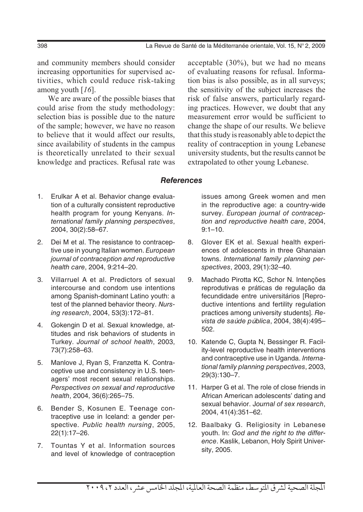and community members should consider increasing opportunities for supervised activities, which could reduce risk-taking among youth [*16*].

We are aware of the possible biases that could arise from the study methodology: selection bias is possible due to the nature of the sample; however, we have no reason to believe that it would affect our results, since availability of students in the campus is theoretically unrelated to their sexual knowledge and practices. Refusal rate was acceptable (30%), but we had no means of evaluating reasons for refusal. Information bias is also possible, as in all surveys; the sensitivity of the subject increases the risk of false answers, particularly regarding practices. However, we doubt that any measurement error would be sufficient to change the shape of our results. We believe that this study is reasonably able to depict the reality of contraception in young Lebanese university students, but the results cannot be extrapolated to other young Lebanese.

#### *References*

- 1. Erulkar A et al. Behavior change evaluation of a culturally consistent reproductive health program for young Kenyans. *International family planning perspectives*, 2004, 30(2):58–67.
- 2. Dei M et al. The resistance to contraceptive use in young Italian women. *European journal of contraception and reproductive health care*, 2004, 9:214–20.
- 3. Villarruel A et al. Predictors of sexual intercourse and condom use intentions among Spanish-dominant Latino youth: a test of the planned behavior theory. *Nursing research*, 2004, 53(3):172–81.
- 4. Gokengin D et al. Sexual knowledge, attitudes and risk behaviors of students in Turkey. *Journal of school health*, 2003, 73(7):258–63.
- 5. Manlove J, Ryan S, Franzetta K. Contraceptive use and consistency in U.S. teenagers' most recent sexual relationships. *Perspectives on sexual and reproductive health*, 2004, 36(6):265–75.
- 6. Bender S, Kosunen E. Teenage contraceptive use in Iceland: a gender perspective. *Public health nursing*, 2005, 22(1):17–26.
- 7. Tountas Y et al. Information sources and level of knowledge of contraception

issues among Greek women and men in the reproductive age: a country-wide survey. *European journal of contraception and reproductive health care*, 2004, 9:1–10.

- 8. Glover EK et al. Sexual health experiences of adolescents in three Ghanaian towns. *International family planning perspectives*, 2003, 29(1):32–40.
- 9. Machado Pirotta KC, Schor N. Intenções reprodutivas e práticas de regulação da fecundidade entre universitários [Reproductive intentions and fertility regulation practices among university students]. *Revista de saúde pública*, 2004, 38(4):495– 502.
- 10. Katende C, Gupta N, Bessinger R. Facility-level reproductive health interventions and contraceptive use in Uganda. *International family planning perspectives*, 2003, 29(3):130–7.
- 11. Harper G et al. The role of close friends in African American adolescents' dating and sexual behavior. J*ournal of sex research*, 2004, 41(4):351–62.
- 12. Baalbaky G. Religiosity in Lebanese youth. In: *God and the right to the difference*. Kaslik, Lebanon, Holy Spirit University, 2005.